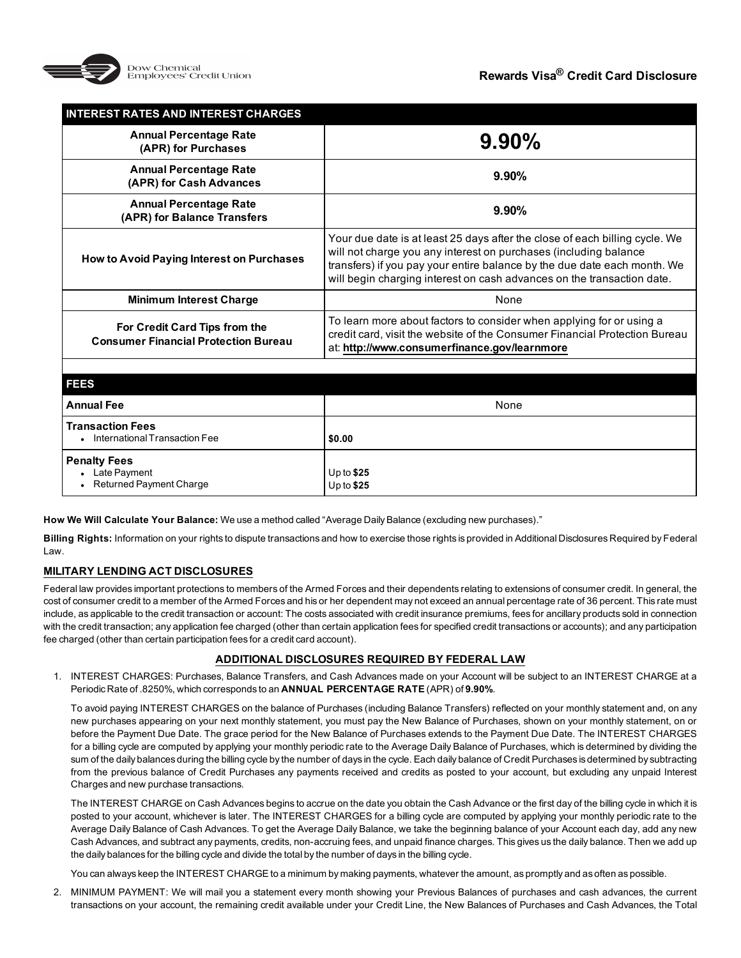

| <b>INTEREST RATES AND INTEREST CHARGES</b>                                   |                                                                                                                                                                                                                                                                                                       |
|------------------------------------------------------------------------------|-------------------------------------------------------------------------------------------------------------------------------------------------------------------------------------------------------------------------------------------------------------------------------------------------------|
| <b>Annual Percentage Rate</b><br>(APR) for Purchases                         | 9.90%                                                                                                                                                                                                                                                                                                 |
| <b>Annual Percentage Rate</b><br>(APR) for Cash Advances                     | 9.90%                                                                                                                                                                                                                                                                                                 |
| <b>Annual Percentage Rate</b><br>(APR) for Balance Transfers                 | 9.90%                                                                                                                                                                                                                                                                                                 |
| How to Avoid Paying Interest on Purchases                                    | Your due date is at least 25 days after the close of each billing cycle. We<br>will not charge you any interest on purchases (including balance<br>transfers) if you pay your entire balance by the due date each month. We<br>will begin charging interest on cash advances on the transaction date. |
| <b>Minimum Interest Charge</b>                                               | None                                                                                                                                                                                                                                                                                                  |
| For Credit Card Tips from the<br><b>Consumer Financial Protection Bureau</b> | To learn more about factors to consider when applying for or using a<br>credit card, visit the website of the Consumer Financial Protection Bureau<br>at: http://www.consumerfinance.gov/learnmore                                                                                                    |
|                                                                              |                                                                                                                                                                                                                                                                                                       |
| <b>FEES</b>                                                                  |                                                                                                                                                                                                                                                                                                       |
| <b>Annual Fee</b>                                                            | None                                                                                                                                                                                                                                                                                                  |
| <b>Transaction Fees</b><br>International Transaction Fee                     | \$0.00                                                                                                                                                                                                                                                                                                |
| <b>Penalty Fees</b><br>Late Payment<br><b>Returned Payment Charge</b>        | Up to $$25$<br>Up to $$25$                                                                                                                                                                                                                                                                            |

**How We Will Calculate Your Balance:** We use a method called "Average Daily Balance (excluding new purchases)."

**Billing Rights:** Information on your rights to dispute transactions and how to exercise those rights is provided in Additional Disclosures Required by Federal Law.

## **MILITARY LENDING ACT DISCLOSURES**

Federal law provides important protections to members of the Armed Forces and their dependents relating to extensions of consumer credit. In general, the cost of consumer credit to a member of the Armed Forces and his or her dependent may not exceed an annual percentage rate of 36 percent. This rate must include, as applicable to the credit transaction or account: The costs associated with credit insurance premiums, fees for ancillary products sold in connection with the credit transaction; any application fee charged (other than certain application fees for specified credit transactions or accounts); and any participation fee charged (other than certain participation fees for a credit card account).

## **ADDITIONAL DISCLOSURES REQUIRED BY FEDERAL LAW**

1. INTEREST CHARGES: Purchases, Balance Transfers, and Cash Advances made on your Account will be subject to an INTEREST CHARGE at a Periodic Rate of .8250%, which corresponds to an **ANNUAL PERCENTAGE RATE** (APR) of **9.90%**.

To avoid paying INTEREST CHARGES on the balance of Purchases (including Balance Transfers) reflected on your monthly statement and, on any new purchases appearing on your next monthly statement, you must pay the New Balance of Purchases, shown on your monthly statement, on or before the Payment Due Date. The grace period for the New Balance of Purchases extends to the Payment Due Date. The INTEREST CHARGES for a billing cycle are computed by applying your monthly periodic rate to the Average Daily Balance of Purchases, which is determined by dividing the sum of the daily balances during the billing cycle by the number of days in the cycle. Each daily balance of Credit Purchases is determined by subtracting from the previous balance of Credit Purchases any payments received and credits as posted to your account, but excluding any unpaid Interest Charges and new purchase transactions.

The INTEREST CHARGE on Cash Advances begins to accrue on the date you obtain the Cash Advance or the first day of the billing cycle in which it is posted to your account, whichever is later. The INTEREST CHARGES for a billing cycle are computed by applying your monthly periodic rate to the Average Daily Balance of Cash Advances. To get the Average Daily Balance, we take the beginning balance of your Account each day, add any new Cash Advances, and subtract any payments, credits, non-accruing fees, and unpaid finance charges. This gives us the daily balance. Then we add up the daily balances for the billing cycle and divide the total by the number of days in the billing cycle.

You can always keep the INTEREST CHARGE to a minimum by making payments, whatever the amount, as promptly and as often as possible.

2. MINIMUM PAYMENT: We will mail you a statement every month showing your Previous Balances of purchases and cash advances, the current transactions on your account, the remaining credit available under your Credit Line, the New Balances of Purchases and Cash Advances, the Total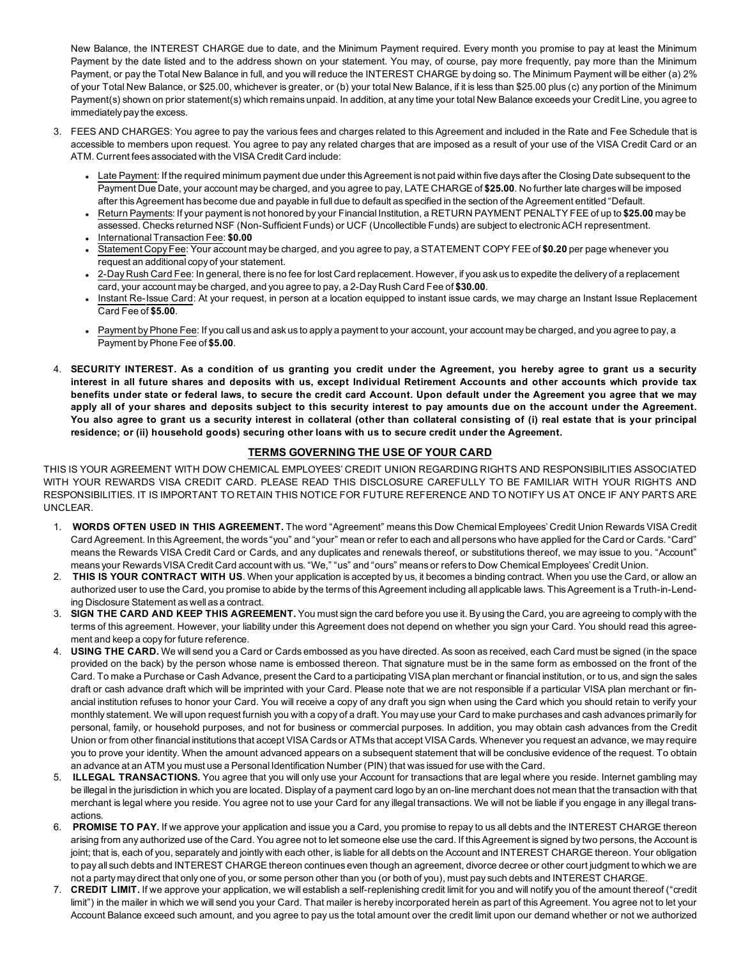New Balance, the INTEREST CHARGE due to date, and the Minimum Payment required. Every month you promise to pay at least the Minimum Payment by the date listed and to the address shown on your statement. You may, of course, pay more frequently, pay more than the Minimum Payment, or pay the Total New Balance in full, and you will reduce the INTEREST CHARGE by doing so. The Minimum Payment will be either (a) 2% of your Total New Balance, or \$25.00, whichever is greater, or (b) your total New Balance, if it is less than \$25.00 plus (c) any portion of the Minimum Payment(s) shown on prior statement(s) which remains unpaid. In addition, at any time your total New Balance exceeds your Credit Line, you agree to immediately pay the excess.

- 3. FEES AND CHARGES: You agree to pay the various fees and charges related to this Agreement and included in the Rate and Fee Schedule that is accessible to members upon request. You agree to pay any related charges that are imposed as a result of your use of the VISA Credit Card or an ATM. Current fees associated with the VISA Credit Card include:
	- Late Payment: If the required minimum payment due under this Agreement is not paid within five days after the Closing Date subsequent to the Payment Due Date, your account may be charged, and you agree to pay, LATE CHARGE of **\$25.00**. No further late charges will be imposed after this Agreement has become due and payable in full due to default as specified in the section of the Agreement entitled "Default.
	- <sup>l</sup> Return Payments: If your payment is not honored by your Financial Institution, a RETURN PAYMENT PENALTY FEE of up to **\$25.00** may be assessed. Checks returned NSF (Non-Sufficient Funds) or UCF (Uncollectible Funds) are subject to electronic ACH representment. <sup>l</sup> InternationalTransaction Fee: **\$0.00**
	- <sup>l</sup> Statement Copy Fee: Your account may be charged, and you agree to pay, a STATEMENT COPY FEE of **\$0.20** per page whenever you request an additional copy of your statement.
	- <sup>l</sup> 2-Day Rush Card Fee: In general, there is no fee for lost Card replacement. However, if you ask us to expedite the delivery of a replacement card, your account may be charged, and you agree to pay, a 2-Day Rush Card Fee of **\$30.00**.
	- <sup>l</sup> Instant Re-Issue Card: At your request, in person at a location equipped to instant issue cards, we may charge an Instant Issue Replacement Card Fee of **\$5.00**.
	- Payment by Phone Fee: If you call us and ask us to apply a payment to your account, your account may be charged, and you agree to pay, a Payment by Phone Fee of **\$5.00**.
- 4. **SECURITY INTEREST. As a condition of us granting you credit under the Agreement, you hereby agree to grant us a security interest in all future shares and deposits with us, except Individual Retirement Accounts and other accounts which provide tax benefits under state or federal laws, to secure the credit card Account. Upon default under the Agreement you agree that we may apply all of your shares and deposits subject to this security interest to pay amounts due on the account under the Agreement. You also agree to grant us a security interest in collateral (other than collateral consisting of (i) real estate that is your principal residence; or (ii) household goods) securing other loans with us to secure credit under the Agreement.**

# **TERMS GOVERNING THE USE OF YOUR CARD**

THIS IS YOUR AGREEMENT WITH DOW CHEMICAL EMPLOYEES' CREDIT UNION REGARDING RIGHTS AND RESPONSIBILITIES ASSOCIATED WITH YOUR REWARDS VISA CREDIT CARD. PLEASE READ THIS DISCLOSURE CAREFULLY TO BE FAMILIAR WITH YOUR RIGHTS AND RESPONSIBILITIES. IT IS IMPORTANT TO RETAIN THIS NOTICE FOR FUTURE REFERENCE AND TO NOTIFY US AT ONCE IF ANY PARTS ARE UNCLEAR.

- 1. **WORDS OFTEN USED IN THIS AGREEMENT.** The word "Agreement" means this Dow Chemical Employees' Credit Union Rewards VISA Credit Card Agreement. In this Agreement, the words "you" and "your" mean or refer to each and all persons who have applied for the Card or Cards. "Card" means the Rewards VISA Credit Card or Cards, and any duplicates and renewals thereof, or substitutions thereof, we may issue to you. "Account" means your Rewards VISA Credit Card account with us. "We," "us" and "ours" means or refers to Dow Chemical Employees' Credit Union.
- 2. **THIS IS YOUR CONTRACT WITH US**. When your application is accepted by us, it becomes a binding contract. When you use the Card, or allow an authorized user to use the Card, you promise to abide by the terms of this Agreement including all applicable laws. This Agreement is a Truth-in-Lending Disclosure Statement as well as a contract.
- 3. **SIGN THE CARD AND KEEP THIS AGREEMENT.** You must sign the card before you use it. By using the Card, you are agreeing to comply with the terms of this agreement. However, your liability under this Agreement does not depend on whether you sign your Card. You should read this agreement and keep a copy for future reference.
- 4. **USING THE CARD.** We will send you a Card or Cards embossed as you have directed. As soon as received, each Card must be signed (in the space provided on the back) by the person whose name is embossed thereon. That signature must be in the same form as embossed on the front of the Card. To make a Purchase or Cash Advance, present the Card to a participating VISA plan merchant or financial institution, or to us, and sign the sales draft or cash advance draft which will be imprinted with your Card. Please note that we are not responsible if a particular VISA plan merchant or financial institution refuses to honor your Card. You will receive a copy of any draft you sign when using the Card which you should retain to verify your monthly statement. We will upon request furnish you with a copy of a draft. You may use your Card to make purchases and cash advances primarily for personal, family, or household purposes, and not for business or commercial purposes. In addition, you may obtain cash advances from the Credit Union or from other financial institutions that accept VISA Cards or ATMs that accept VISA Cards. Whenever you request an advance, we may require you to prove your identity. When the amount advanced appears on a subsequent statement that will be conclusive evidence of the request. To obtain an advance at an ATM you must use a Personal Identification Number (PIN) that was issued for use with the Card.
- 5. **ILLEGAL TRANSACTIONS.** You agree that you will only use your Account for transactions that are legal where you reside. Internet gambling may be illegal in the jurisdiction in which you are located. Display of a payment card logo by an on-line merchant does not mean that the transaction with that merchant is legal where you reside. You agree not to use your Card for any illegal transactions. We will not be liable if you engage in any illegal transactions.
- 6. **PROMISE TO PAY.** If we approve your application and issue you a Card, you promise to repay to us all debts and the INTEREST CHARGE thereon arising from any authorized use of the Card. You agree not to let someone else use the card. If this Agreement is signed by two persons, the Account is joint; that is, each of you, separately and jointly with each other, is liable for all debts on the Account and INTEREST CHARGE thereon. Your obligation to pay all such debts and INTEREST CHARGE thereon continues even though an agreement, divorce decree or other court judgment to which we are not a party may direct that only one of you, or some person other than you (or both of you), must pay such debts and INTEREST CHARGE.
- 7. CREDIT LIMIT. If we approve your application, we will establish a self-replenishing credit limit for you and will notify you of the amount thereof ("credit limit") in the mailer in which we will send you your Card. That mailer is hereby incorporated herein as part of this Agreement. You agree not to let your Account Balance exceed such amount, and you agree to pay us the total amount over the credit limit upon our demand whether or not we authorized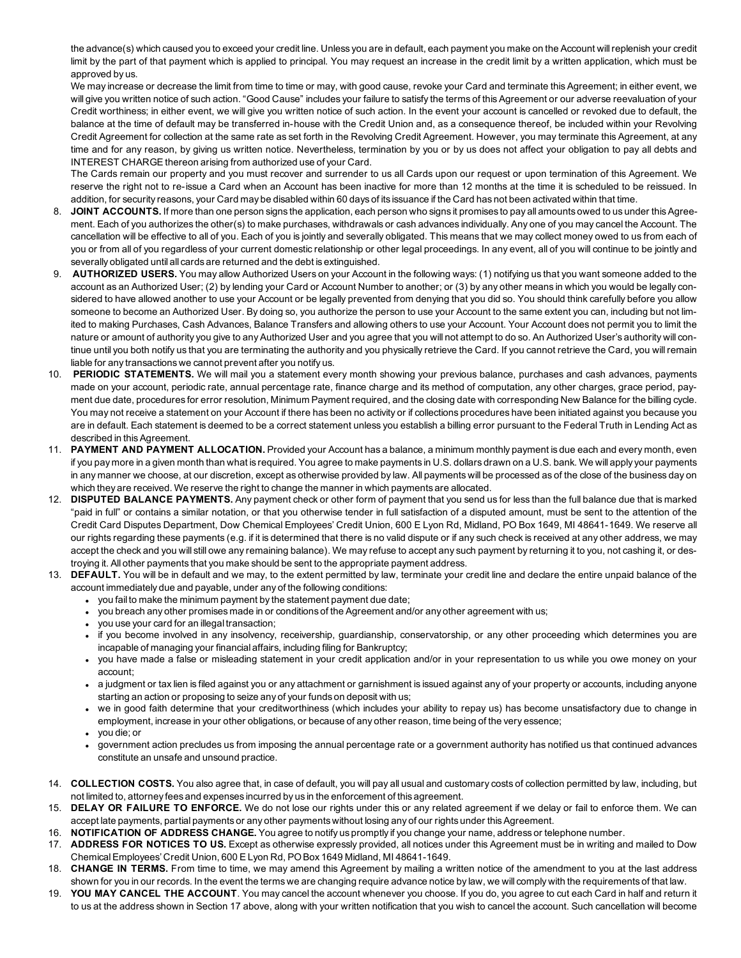the advance(s) which caused you to exceed your credit line. Unless you are in default, each payment you make on the Account will replenish your credit limit by the part of that payment which is applied to principal. You may request an increase in the credit limit by a written application, which must be approved by us.

We may increase or decrease the limit from time to time or may, with good cause, revoke your Card and terminate this Agreement; in either event, we will give you written notice of such action. "Good Cause" includes your failure to satisfy the terms of this Agreement or our adverse reevaluation of your Credit worthiness; in either event, we will give you written notice of such action. In the event your account is cancelled or revoked due to default, the balance at the time of default may be transferred in-house with the Credit Union and, as a consequence thereof, be included within your Revolving Credit Agreement for collection at the same rate as set forth in the Revolving Credit Agreement. However, you may terminate this Agreement, at any time and for any reason, by giving us written notice. Nevertheless, termination by you or by us does not affect your obligation to pay all debts and INTEREST CHARGE thereon arising from authorized use of your Card.

The Cards remain our property and you must recover and surrender to us all Cards upon our request or upon termination of this Agreement. We reserve the right not to re-issue a Card when an Account has been inactive for more than 12 months at the time it is scheduled to be reissued. In addition, for security reasons, your Card may be disabled within 60 days of its issuance if the Card has not been activated within that time.

- 8. **JOINT ACCOUNTS.** If more than one person signs the application, each person who signs it promises to pay all amounts owed to us under this Agreement. Each of you authorizes the other(s) to make purchases, withdrawals or cash advances individually. Any one of you may cancel the Account. The cancellation will be effective to all of you. Each of you is jointly and severally obligated. This means that we may collect money owed to us from each of you or from all of you regardless of your current domestic relationship or other legal proceedings. In any event, all of you will continue to be jointly and severally obligated until all cards are returned and the debt is extinguished.
- 9. **AUTHORIZED USERS.** You may allow Authorized Users on your Account in the following ways: (1) notifying us that you want someone added to the account as an Authorized User; (2) by lending your Card or Account Number to another; or (3) by any other means in which you would be legally considered to have allowed another to use your Account or be legally prevented from denying that you did so. You should think carefully before you allow someone to become an Authorized User. By doing so, you authorize the person to use your Account to the same extent you can, including but not limited to making Purchases, Cash Advances, Balance Transfers and allowing others to use your Account. Your Account does not permit you to limit the nature or amount of authority you give to any Authorized User and you agree that you will not attempt to do so. An Authorized User's authority will continue until you both notify us that you are terminating the authority and you physically retrieve the Card. If you cannot retrieve the Card, you will remain liable for any transactions we cannot prevent after you notify us.
- 10. **PERIODIC STATEMENTS.** We will mail you a statement every month showing your previous balance, purchases and cash advances, payments made on your account, periodic rate, annual percentage rate, finance charge and its method of computation, any other charges, grace period, payment due date, procedures for error resolution, Minimum Payment required, and the closing date with corresponding New Balance for the billing cycle. You may not receive a statement on your Account if there has been no activity or if collections procedures have been initiated against you because you are in default. Each statement is deemed to be a correct statement unless you establish a billing error pursuant to the Federal Truth in Lending Act as described in this Agreement.
- 11. **PAYMENT AND PAYMENT ALLOCATION.** Provided your Account has a balance, a minimum monthly payment is due each and every month, even if you pay more in a given month than what is required. You agree to make payments in U.S. dollars drawn on a U.S. bank. We will apply your payments in any manner we choose, at our discretion, except as otherwise provided by law. All payments will be processed as of the close of the business day on which they are received. We reserve the right to change the manner in which payments are allocated.
- 12. **DISPUTED BALANCE PAYMENTS.** Any payment check or other form of payment that you send us for less than the full balance due that is marked "paid in full" or contains a similar notation, or that you otherwise tender in full satisfaction of a disputed amount, must be sent to the attention of the Credit Card Disputes Department, Dow Chemical Employees' Credit Union, 600 E Lyon Rd, Midland, PO Box 1649, MI 48641-1649. We reserve all our rights regarding these payments (e.g. if it is determined that there is no valid dispute or if any such check is received at any other address, we may accept the check and you will still owe any remaining balance). We may refuse to accept any such payment by returning it to you, not cashing it, or destroying it. All other payments that you make should be sent to the appropriate payment address.
- 13. **DEFAULT.** You will be in default and we may, to the extent permitted by law, terminate your credit line and declare the entire unpaid balance of the account immediately due and payable, under any of the following conditions:
	- you fail to make the minimum payment by the statement payment due date;
	- you breach any other promises made in or conditions of the Agreement and/or any other agreement with us;
	- you use your card for an illegal transaction;
	- if you become involved in any insolvency, receivership, guardianship, conservatorship, or any other proceeding which determines you are incapable of managing your financial affairs, including filing for Bankruptcy;
	- <sup>l</sup> you have made a false or misleading statement in your credit application and/or in your representation to us while you owe money on your account;
	- a judgment or tax lien is filed against you or any attachment or garnishment is issued against any of your property or accounts, including anyone starting an action or proposing to seize any of your funds on deposit with us;
	- <sup>l</sup> we in good faith determine that your creditworthiness (which includes your ability to repay us) has become unsatisfactory due to change in employment, increase in your other obligations, or because of any other reason, time being of the very essence;
	- <sup>l</sup> you die; or
	- <sup>l</sup> government action precludes us from imposing the annual percentage rate or a government authority has notified us that continued advances constitute an unsafe and unsound practice.
- 14. **COLLECTION COSTS.** You also agree that, in case of default, you will pay all usual and customary costs of collection permitted by law, including, but not limited to, attorney fees and expenses incurred by us in the enforcement of this agreement.
- 15. **DELAY OR FAILURE TO ENFORCE.** We do not lose our rights under this or any related agreement if we delay or fail to enforce them. We can accept late payments, partial payments or any other payments without losing any of our rights under this Agreement.
- 16. **NOTIFICATION OF ADDRESS CHANGE.** You agree to notify us promptly if you change your name, address or telephone number.
- 17. **ADDRESS FOR NOTICES TO US.** Except as otherwise expressly provided, all notices under this Agreement must be in writing and mailed to Dow Chemical Employees' Credit Union, 600 E Lyon Rd, PO Box 1649 Midland, MI 48641-1649.
- 18. **CHANGE IN TERMS.** From time to time, we may amend this Agreement by mailing a written notice of the amendment to you at the last address shown for you in our records. In the event the terms we are changing require advance notice by law, we will comply with the requirements of that law.
- 19. **YOU MAY CANCEL THE ACCOUNT**. You may cancel the account whenever you choose. If you do, you agree to cut each Card in half and return it to us at the address shown in Section 17 above, along with your written notification that you wish to cancel the account. Such cancellation will become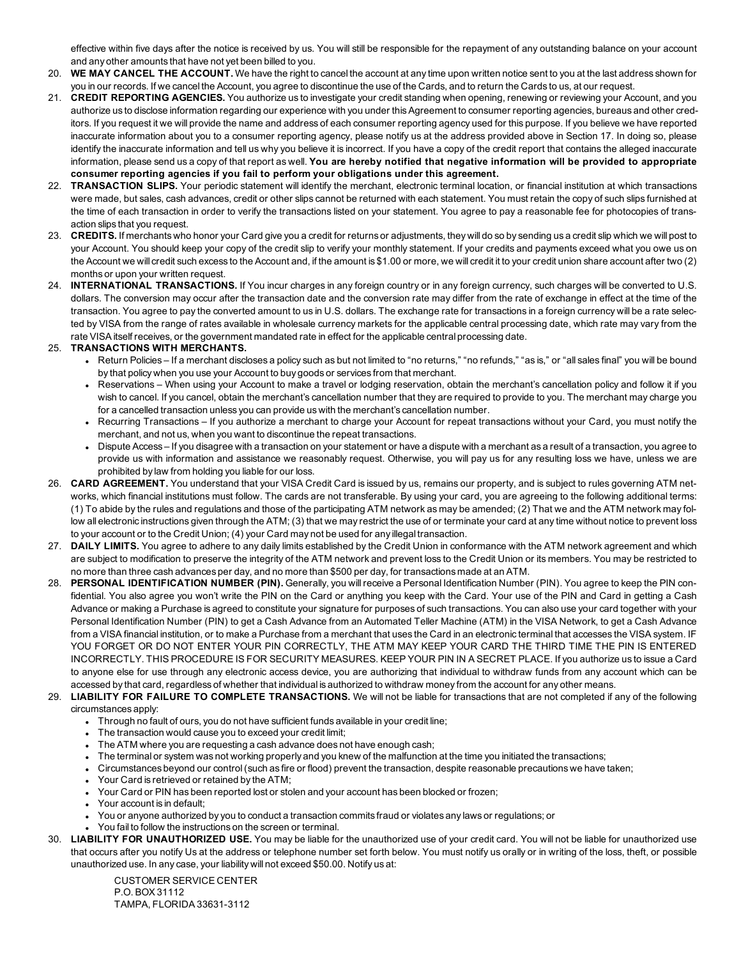effective within five days after the notice is received by us. You will still be responsible for the repayment of any outstanding balance on your account and any other amounts that have not yet been billed to you.

- 20. **WE MAY CANCEL THE ACCOUNT.** We have the right to cancel the account at any time upon written notice sent to you at the last address shown for you in our records. If we cancel the Account, you agree to discontinue the use of the Cards, and to return the Cards to us, at our request.
- 21. **CREDIT REPORTING AGENCIES.** You authorize us to investigate your credit standing when opening, renewing or reviewing your Account, and you authorize us to disclose information regarding our experience with you under this Agreement to consumer reporting agencies, bureaus and other creditors. If you request it we will provide the name and address of each consumer reporting agency used for this purpose. If you believe we have reported inaccurate information about you to a consumer reporting agency, please notify us at the address provided above in Section 17. In doing so, please identify the inaccurate information and tell us why you believe it is incorrect. If you have a copy of the credit report that contains the alleged inaccurate information, please send us a copy of that report as well. **You are hereby notified that negative information will be provided to appropriate consumer reporting agencies if you fail to perform your obligations under this agreement.**
- 22. **TRANSACTION SLIPS.** Your periodic statement will identify the merchant, electronic terminal location, or financial institution at which transactions were made, but sales, cash advances, credit or other slips cannot be returned with each statement. You must retain the copy of such slips furnished at the time of each transaction in order to verify the transactions listed on your statement. You agree to pay a reasonable fee for photocopies of transaction slips that you request.
- 23. **CREDITS.** If merchants who honor your Card give you a credit for returns or adjustments, they will do so by sending us a credit slip which we will post to your Account. You should keep your copy of the credit slip to verify your monthly statement. If your credits and payments exceed what you owe us on the Account we will credit such excess to the Account and, if the amount is \$1.00 or more, we will credit it to your credit union share account after two (2) months or upon your written request.
- 24. **INTERNATIONAL TRANSACTIONS.** If You incur charges in any foreign country or in any foreign currency, such charges will be converted to U.S. dollars. The conversion may occur after the transaction date and the conversion rate may differ from the rate of exchange in effect at the time of the transaction. You agree to pay the converted amount to us in U.S. dollars. The exchange rate for transactions in a foreign currency will be a rate selected by VISA from the range of rates available in wholesale currency markets for the applicable central processing date, which rate may vary from the rate VISA itself receives, or the government mandated rate in effect for the applicable central processing date.

## 25. **TRANSACTIONS WITH MERCHANTS.**

- Return Policies If a merchant discloses a policy such as but not limited to "no returns," "no refunds," "as is," or "all sales final" you will be bound by that policy when you use your Account to buy goods or services from that merchant.
- Reservations When using your Account to make a travel or lodging reservation, obtain the merchant's cancellation policy and follow it if you wish to cancel. If you cancel, obtain the merchant's cancellation number that they are required to provide to you. The merchant may charge you for a cancelled transaction unless you can provide us with the merchant's cancellation number.
- Recurring Transactions If you authorize a merchant to charge your Account for repeat transactions without your Card, you must notify the merchant, and not us, when you want to discontinue the repeat transactions.
- <sup>l</sup> Dispute Access If you disagree with a transaction on your statement or have a dispute with a merchant as a result of a transaction, you agree to provide us with information and assistance we reasonably request. Otherwise, you will pay us for any resulting loss we have, unless we are prohibited by law from holding you liable for our loss.
- 26. **CARD AGREEMENT.** You understand that your VISA Credit Card is issued by us, remains our property, and is subject to rules governing ATM networks, which financial institutions must follow. The cards are not transferable. By using your card, you are agreeing to the following additional terms: (1) To abide by the rules and regulations and those of the participating ATM network as may be amended; (2) That we and the ATM network may follow all electronic instructions given through the ATM; (3) that we may restrict the use of or terminate your card at any time without notice to prevent loss to your account or to the Credit Union; (4) your Card may not be used for any illegal transaction.
- 27. **DAILY LIMITS.** You agree to adhere to any daily limits established by the Credit Union in conformance with the ATM network agreement and which are subject to modification to preserve the integrity of the ATM network and prevent loss to the Credit Union or its members. You may be restricted to no more than three cash advances per day, and no more than \$500 per day, for transactions made at an ATM.
- 28. **PERSONAL IDENTIFICATION NUMBER (PIN).** Generally, you will receive a Personal Identification Number (PIN). You agree to keep the PIN confidential. You also agree you won't write the PIN on the Card or anything you keep with the Card. Your use of the PIN and Card in getting a Cash Advance or making a Purchase is agreed to constitute your signature for purposes of such transactions. You can also use your card together with your Personal Identification Number (PIN) to get a Cash Advance from an Automated Teller Machine (ATM) in the VISA Network, to get a Cash Advance from a VISA financial institution, or to make a Purchase from a merchant that uses the Card in an electronic terminal that accesses the VISA system. IF YOU FORGET OR DO NOT ENTER YOUR PIN CORRECTLY, THE ATM MAY KEEP YOUR CARD THE THIRD TIME THE PIN IS ENTERED INCORRECTLY. THIS PROCEDURE IS FOR SECURITY MEASURES. KEEP YOUR PIN IN A SECRET PLACE. If you authorize us to issue a Card to anyone else for use through any electronic access device, you are authorizing that individual to withdraw funds from any account which can be accessed by that card, regardless of whether that individual is authorized to withdraw money from the account for any other means.
- 29. **LIABILITY FOR FAILURE TO COMPLETE TRANSACTIONS.** We will not be liable for transactions that are not completed if any of the following circumstances apply:
	- Through no fault of ours, you do not have sufficient funds available in your credit line;
	- The transaction would cause you to exceed your credit limit;
	- The ATM where you are requesting a cash advance does not have enough cash;
	- The terminal or system was not working properly and you knew of the malfunction at the time you initiated the transactions;
	- <sup>l</sup> Circumstances beyond our control (such as fire or flood) prevent the transaction, despite reasonable precautions we have taken;
	- Your Card is retrieved or retained by the ATM;
	- <sup>l</sup> Your Card or PIN has been reported lost or stolen and your account has been blocked or frozen;
	- Your account is in default;
	- <sup>l</sup> You or anyone authorized by you to conduct a transaction commits fraud or violates any laws or regulations; or
	- You fail to follow the instructions on the screen or terminal.
- 30. **LIABILITY FOR UNAUTHORIZED USE.** You may be liable for the unauthorized use of your credit card. You will not be liable for unauthorized use that occurs after you notify Us at the address or telephone number set forth below. You must notify us orally or in writing of the loss, theft, or possible unauthorized use. In any case, your liability will not exceed \$50.00. Notify us at:

CUSTOMER SERVICE CENTER P.O. BOX 31112 TAMPA, FLORIDA 33631-3112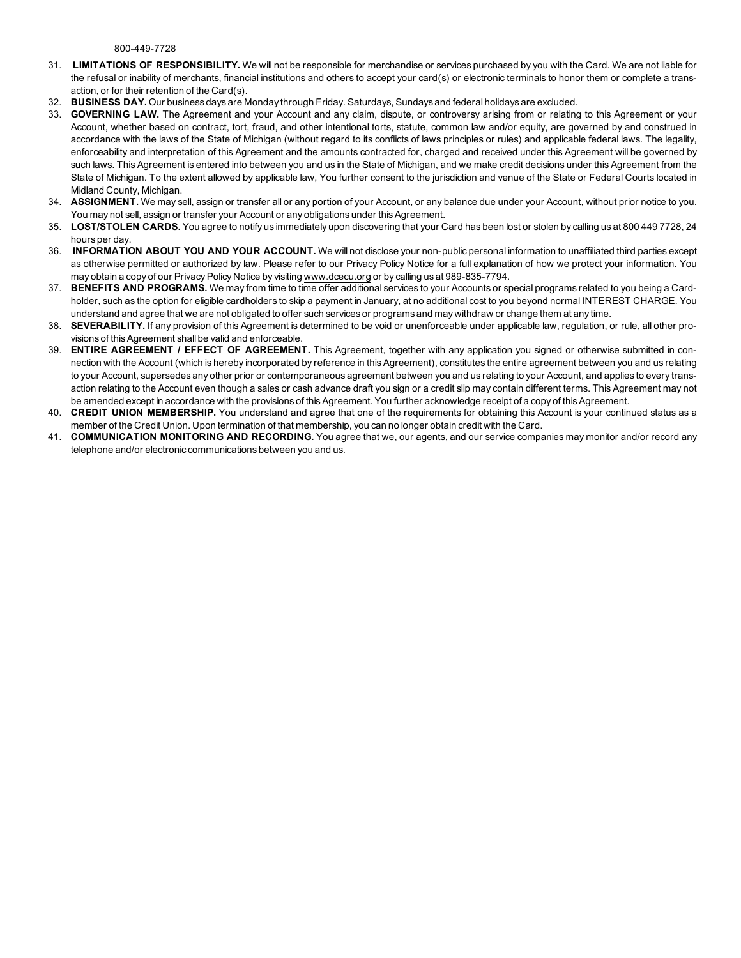800-449-7728

- 31. **LIMITATIONS OF RESPONSIBILITY.** We will not be responsible for merchandise or services purchased by you with the Card. We are not liable for the refusal or inability of merchants, financial institutions and others to accept your card(s) or electronic terminals to honor them or complete a transaction, or for their retention of the Card(s).
- 32. **BUSINESS DAY.** Our business days are Monday through Friday. Saturdays, Sundays and federal holidays are excluded.
- 33. **GOVERNING LAW.** The Agreement and your Account and any claim, dispute, or controversy arising from or relating to this Agreement or your Account, whether based on contract, tort, fraud, and other intentional torts, statute, common law and/or equity, are governed by and construed in accordance with the laws of the State of Michigan (without regard to its conflicts of laws principles or rules) and applicable federal laws. The legality, enforceability and interpretation of this Agreement and the amounts contracted for, charged and received under this Agreement will be governed by such laws. This Agreement is entered into between you and us in the State of Michigan, and we make credit decisions under this Agreement from the State of Michigan. To the extent allowed by applicable law, You further consent to the jurisdiction and venue of the State or Federal Courts located in Midland County, Michigan.
- 34. **ASSIGNMENT.** We may sell, assign or transfer all or any portion of your Account, or any balance due under your Account, without prior notice to you. You may not sell, assign or transfer your Account or any obligations under this Agreement.
- 35. **LOST/STOLEN CARDS.** You agree to notify us immediately upon discovering that your Card has been lost or stolen by calling us at 800 449 7728, 24 hours per day.
- 36. **INFORMATION ABOUT YOU AND YOUR ACCOUNT.** We will not disclose your non-public personal information to unaffiliated third parties except as otherwise permitted or authorized by law. Please refer to our Privacy Policy Notice for a full explanation of how we protect your information. You may obtain a copy of our Privacy Policy Notice by visiting [www.dcecu.org](http://www.dcecu.org/) or by calling us at 989-835-7794.
- 37. **BENEFITS AND PROGRAMS.** We may from time to time offer additional services to your Accounts or special programs related to you being a Cardholder, such as the option for eligible cardholders to skip a payment in January, at no additional cost to you beyond normal INTEREST CHARGE. You understand and agree that we are not obligated to offer such services or programs and may withdraw or change them at any time.
- 38. **SEVERABILITY.** If any provision of this Agreement is determined to be void or unenforceable under applicable law, regulation, or rule, all other provisions of this Agreement shall be valid and enforceable.
- 39. **ENTIRE AGREEMENT / EFFECT OF AGREEMENT.** This Agreement, together with any application you signed or otherwise submitted in connection with the Account (which is hereby incorporated by reference in this Agreement), constitutes the entire agreement between you and us relating to your Account, supersedes any other prior or contemporaneous agreement between you and us relating to your Account, and applies to every transaction relating to the Account even though a sales or cash advance draft you sign or a credit slip may contain different terms. This Agreement may not be amended except in accordance with the provisions of this Agreement. You further acknowledge receipt of a copy of this Agreement.
- 40. **CREDIT UNION MEMBERSHIP.** You understand and agree that one of the requirements for obtaining this Account is your continued status as a member of the Credit Union. Upon termination of that membership, you can no longer obtain credit with the Card.
- 41. **COMMUNICATION MONITORING AND RECORDING.** You agree that we, our agents, and our service companies may monitor and/or record any telephone and/or electronic communications between you and us.